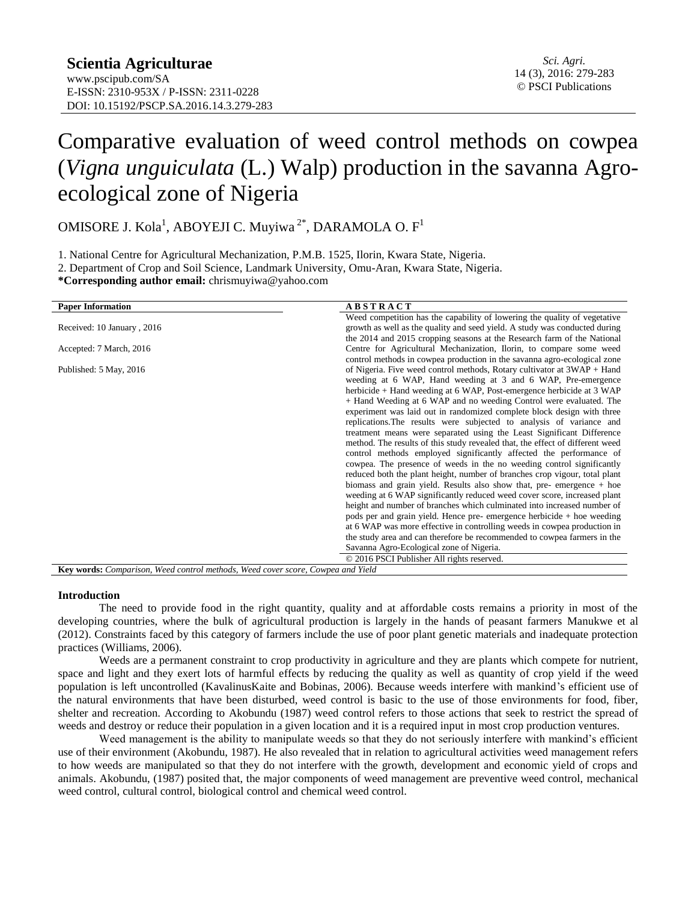# Comparative evaluation of weed control methods on cowpea (*Vigna unguiculata* (L.) Walp) production in the savanna Agroecological zone of Nigeria

OMISORE J. Kola<sup>1</sup>, ABOYEJI C. Muyiwa<sup>2\*</sup>, DARAMOLA O. F<sup>1</sup>

1. National Centre for Agricultural Mechanization, P.M.B. 1525, Ilorin, Kwara State, Nigeria.

2. Department of Crop and Soil Science, Landmark University, Omu-Aran, Kwara State, Nigeria.

**\*Corresponding author email:** [chrismuyiwa@yahoo.com](mailto:chrismuyiwa@yahoo.com)

| <b>Paper Information</b>                                                        | <b>ABSTRACT</b>                                                               |  |  |  |  |  |  |  |  |
|---------------------------------------------------------------------------------|-------------------------------------------------------------------------------|--|--|--|--|--|--|--|--|
|                                                                                 | Weed competition has the capability of lowering the quality of vegetative     |  |  |  |  |  |  |  |  |
| Received: 10 January, 2016                                                      | growth as well as the quality and seed yield. A study was conducted during    |  |  |  |  |  |  |  |  |
|                                                                                 | the 2014 and 2015 cropping seasons at the Research farm of the National       |  |  |  |  |  |  |  |  |
| Accepted: 7 March, 2016                                                         | Centre for Agricultural Mechanization, Ilorin, to compare some weed           |  |  |  |  |  |  |  |  |
|                                                                                 | control methods in cowpea production in the savanna agro-ecological zone      |  |  |  |  |  |  |  |  |
| Published: 5 May, 2016                                                          | of Nigeria. Five weed control methods, Rotary cultivator at 3WAP + Hand       |  |  |  |  |  |  |  |  |
|                                                                                 | weeding at 6 WAP, Hand weeding at 3 and 6 WAP, Pre-emergence                  |  |  |  |  |  |  |  |  |
|                                                                                 | herbicide + Hand weeding at 6 WAP, Post-emergence herbicide at 3 WAP          |  |  |  |  |  |  |  |  |
|                                                                                 | + Hand Weeding at 6 WAP and no weeding Control were evaluated. The            |  |  |  |  |  |  |  |  |
|                                                                                 | experiment was laid out in randomized complete block design with three        |  |  |  |  |  |  |  |  |
|                                                                                 | replications. The results were subjected to analysis of variance and          |  |  |  |  |  |  |  |  |
|                                                                                 | treatment means were separated using the Least Significant Difference         |  |  |  |  |  |  |  |  |
|                                                                                 | method. The results of this study revealed that, the effect of different weed |  |  |  |  |  |  |  |  |
|                                                                                 | control methods employed significantly affected the performance of            |  |  |  |  |  |  |  |  |
|                                                                                 | cowpea. The presence of weeds in the no weeding control significantly         |  |  |  |  |  |  |  |  |
|                                                                                 | reduced both the plant height, number of branches crop vigour, total plant    |  |  |  |  |  |  |  |  |
|                                                                                 | biomass and grain yield. Results also show that, pre- emergence + hoe         |  |  |  |  |  |  |  |  |
|                                                                                 | weeding at 6 WAP significantly reduced weed cover score, increased plant      |  |  |  |  |  |  |  |  |
|                                                                                 | height and number of branches which culminated into increased number of       |  |  |  |  |  |  |  |  |
|                                                                                 | pods per and grain yield. Hence pre- emergence herbicide $+$ hoe weeding      |  |  |  |  |  |  |  |  |
|                                                                                 | at 6 WAP was more effective in controlling weeds in cowpea production in      |  |  |  |  |  |  |  |  |
|                                                                                 | the study area and can therefore be recommended to cowpea farmers in the      |  |  |  |  |  |  |  |  |
|                                                                                 | Savanna Agro-Ecological zone of Nigeria.                                      |  |  |  |  |  |  |  |  |
|                                                                                 | © 2016 PSCI Publisher All rights reserved.                                    |  |  |  |  |  |  |  |  |
| Key words: Comparison, Weed control methods, Weed cover score, Cowpea and Yield |                                                                               |  |  |  |  |  |  |  |  |

### **Introduction**

The need to provide food in the right quantity, quality and at affordable costs remains a priority in most of the developing countries, where the bulk of agricultural production is largely in the hands of peasant farmers Manukwe et al (2012). Constraints faced by this category of farmers include the use of poor plant genetic materials and inadequate protection practices (Williams, 2006).

Weeds are a permanent constraint to crop productivity in agriculture and they are plants which compete for nutrient, space and light and they exert lots of harmful effects by reducing the quality as well as quantity of crop yield if the weed population is left uncontrolled (KavalinusKaite and Bobinas, 2006). Because weeds interfere with mankind's efficient use of the natural environments that have been disturbed, weed control is basic to the use of those environments for food, fiber, shelter and recreation. According to Akobundu (1987) weed control refers to those actions that seek to restrict the spread of weeds and destroy or reduce their population in a given location and it is a required input in most crop production ventures.

Weed management is the ability to manipulate weeds so that they do not seriously interfere with mankind's efficient use of their environment (Akobundu, 1987). He also revealed that in relation to agricultural activities weed management refers to how weeds are manipulated so that they do not interfere with the growth, development and economic yield of crops and animals. Akobundu, (1987) posited that, the major components of weed management are preventive weed control, mechanical weed control, cultural control, biological control and chemical weed control.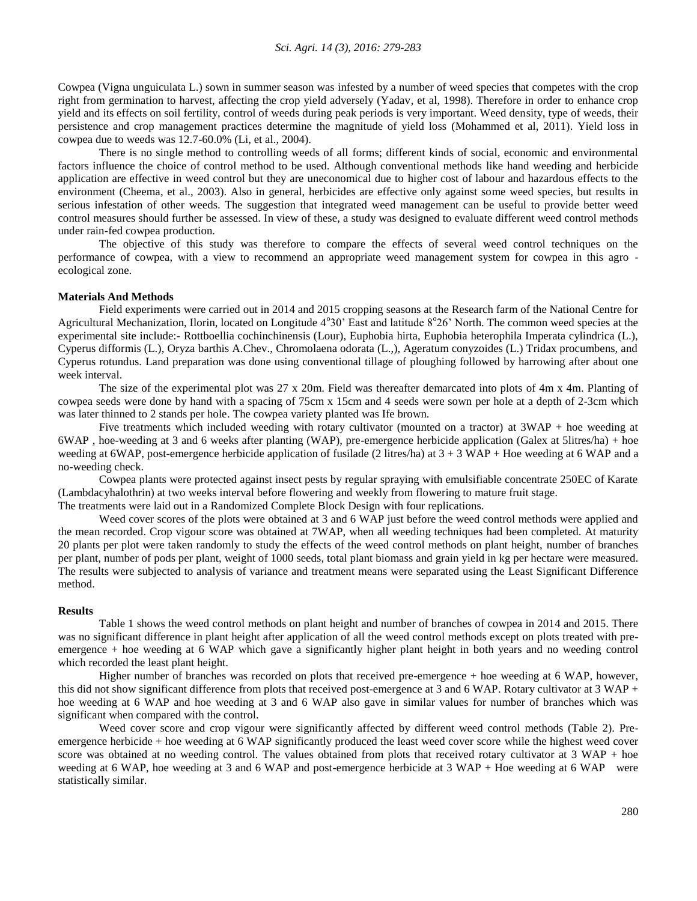Cowpea (Vigna unguiculata L.) sown in summer season was infested by a number of weed species that competes with the crop right from germination to harvest, affecting the crop yield adversely (Yadav, et al, 1998). Therefore in order to enhance crop yield and its effects on soil fertility, control of weeds during peak periods is very important. Weed density, type of weeds, their persistence and crop management practices determine the magnitude of yield loss (Mohammed et al, 2011). Yield loss in cowpea due to weeds was 12.7-60.0% (Li, et al., 2004).

There is no single method to controlling weeds of all forms; different kinds of social, economic and environmental factors influence the choice of control method to be used. Although conventional methods like hand weeding and herbicide application are effective in weed control but they are uneconomical due to higher cost of labour and hazardous effects to the environment (Cheema, et al., 2003). Also in general, herbicides are effective only against some weed species, but results in serious infestation of other weeds. The suggestion that integrated weed management can be useful to provide better weed control measures should further be assessed. In view of these, a study was designed to evaluate different weed control methods under rain-fed cowpea production.

The objective of this study was therefore to compare the effects of several weed control techniques on the performance of cowpea, with a view to recommend an appropriate weed management system for cowpea in this agro ecological zone.

#### **Materials And Methods**

Field experiments were carried out in 2014 and 2015 cropping seasons at the Research farm of the National Centre for Agricultural Mechanization, Ilorin, located on Longitude 4°30' East and latitude 8°26' North. The common weed species at the experimental site include:- Rottboellia cochinchinensis (Lour), Euphobia hirta, Euphobia heterophila Imperata cylindrica (L.), Cyperus difformis (L.), Oryza barthis A.Chev., Chromolaena odorata (L.,), Ageratum conyzoides (L.) Tridax procumbens, and Cyperus rotundus. Land preparation was done using conventional tillage of ploughing followed by harrowing after about one week interval.

The size of the experimental plot was 27 x 20m. Field was thereafter demarcated into plots of 4m x 4m. Planting of cowpea seeds were done by hand with a spacing of 75cm x 15cm and 4 seeds were sown per hole at a depth of 2-3cm which was later thinned to 2 stands per hole. The cowpea variety planted was Ife brown.

Five treatments which included weeding with rotary cultivator (mounted on a tractor) at 3WAP + hoe weeding at 6WAP , hoe-weeding at 3 and 6 weeks after planting (WAP), pre-emergence herbicide application (Galex at 5litres/ha) + hoe weeding at 6WAP, post-emergence herbicide application of fusilade (2 litres/ha) at  $3 + 3$  WAP + Hoe weeding at 6 WAP and a no-weeding check.

Cowpea plants were protected against insect pests by regular spraying with emulsifiable concentrate 250EC of Karate (Lambdacyhalothrin) at two weeks interval before flowering and weekly from flowering to mature fruit stage.

The treatments were laid out in a Randomized Complete Block Design with four replications.

Weed cover scores of the plots were obtained at 3 and 6 WAP just before the weed control methods were applied and the mean recorded. Crop vigour score was obtained at 7WAP, when all weeding techniques had been completed. At maturity 20 plants per plot were taken randomly to study the effects of the weed control methods on plant height, number of branches per plant, number of pods per plant, weight of 1000 seeds, total plant biomass and grain yield in kg per hectare were measured. The results were subjected to analysis of variance and treatment means were separated using the Least Significant Difference method.

#### **Results**

Table 1 shows the weed control methods on plant height and number of branches of cowpea in 2014 and 2015. There was no significant difference in plant height after application of all the weed control methods except on plots treated with preemergence + hoe weeding at 6 WAP which gave a significantly higher plant height in both years and no weeding control which recorded the least plant height.

Higher number of branches was recorded on plots that received pre-emergence + hoe weeding at 6 WAP, however, this did not show significant difference from plots that received post-emergence at 3 and 6 WAP. Rotary cultivator at 3 WAP + hoe weeding at 6 WAP and hoe weeding at 3 and 6 WAP also gave in similar values for number of branches which was significant when compared with the control.

Weed cover score and crop vigour were significantly affected by different weed control methods (Table 2). Preemergence herbicide + hoe weeding at 6 WAP significantly produced the least weed cover score while the highest weed cover score was obtained at no weeding control. The values obtained from plots that received rotary cultivator at 3 WAP + hoe weeding at 6 WAP, hoe weeding at 3 and 6 WAP and post-emergence herbicide at 3 WAP + Hoe weeding at 6 WAP were statistically similar.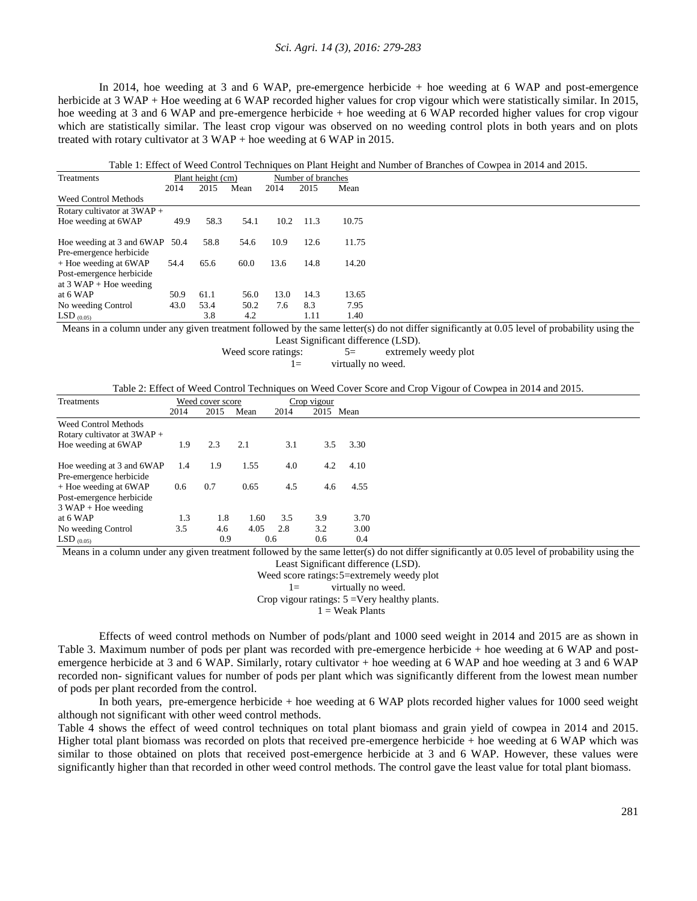#### *Sci. Agri. 14 (3), 2016: 279-283*

In 2014, hoe weeding at 3 and 6 WAP, pre-emergence herbicide + hoe weeding at 6 WAP and post-emergence herbicide at 3 WAP + Hoe weeding at 6 WAP recorded higher values for crop vigour which were statistically similar. In 2015, hoe weeding at 3 and 6 WAP and pre-emergence herbicide + hoe weeding at 6 WAP recorded higher values for crop vigour which are statistically similar. The least crop vigour was observed on no weeding control plots in both years and on plots treated with rotary cultivator at  $3 \text{ WAP} + \text{hoe}$  weeding at 6 WAP in 2015.

Table 1: Effect of Weed Control Techniques on Plant Height and Number of Branches of Cowpea in 2014 and 2015.

| Treatments                     |      | Plant height (cm) | Number of branches |      |      |       |
|--------------------------------|------|-------------------|--------------------|------|------|-------|
|                                | 2014 | 2015              | Mean               | 2014 | 2015 | Mean  |
| <b>Weed Control Methods</b>    |      |                   |                    |      |      |       |
| Rotary cultivator at $3WAP +$  |      |                   |                    |      |      |       |
| Hoe weeding at 6WAP            | 49.9 | 58.3              | 54.1               | 10.2 | 11.3 | 10.75 |
|                                |      |                   |                    |      |      |       |
| Hoe weeding at 3 and 6WAP 50.4 |      | 58.8              | 54.6               | 10.9 | 12.6 | 11.75 |
| Pre-emergence herbicide        |      |                   |                    |      |      |       |
| + Hoe weeding at 6WAP          | 54.4 | 65.6              | 60.0               | 13.6 | 14.8 | 14.20 |
| Post-emergence herbicide       |      |                   |                    |      |      |       |
| at $3$ WAP + Hoe weeding       |      |                   |                    |      |      |       |
| at 6 WAP                       | 50.9 | 61.1              | 56.0               | 13.0 | 14.3 | 13.65 |
| No weeding Control             | 43.0 | 53.4              | 50.2               | 7.6  | 8.3  | 7.95  |
| LSD $_{(0.05)}$                |      | 3.8               | 4.2                |      | 1.11 | 1.40  |

Means in a column under any given treatment followed by the same letter(s) do not differ significantly at 0.05 level of probability using the

Least Significant difference (LSD).

Weed score ratings:  $5=$  extremely weedy plot  $1=$  virtually no weed.

Table 2: Effect of Weed Control Techniques on Weed Cover Score and Crop Vigour of Cowpea in 2014 and 2015.

| Treatments                    |      | Weed cover score |      |      |      | Crop vigour |  |
|-------------------------------|------|------------------|------|------|------|-------------|--|
|                               | 2014 | 2015             | Mean | 2014 | 2015 | Mean        |  |
| <b>Weed Control Methods</b>   |      |                  |      |      |      |             |  |
| Rotary cultivator at $3WAP +$ |      |                  |      |      |      |             |  |
| Hoe weeding at 6WAP           | 1.9  | 2.3              | 2.1  | 3.1  | 3.5  | 3.30        |  |
|                               |      |                  |      |      |      |             |  |
| Hoe weeding at 3 and 6WAP     | 1.4  | 1.9              | 1.55 | 4.0  | 4.2  | 4.10        |  |
| Pre-emergence herbicide       |      |                  |      |      |      |             |  |
| + Hoe weeding at 6WAP         | 0.6  | 0.7              | 0.65 | 4.5  | 4.6  | 4.55        |  |
| Post-emergence herbicide      |      |                  |      |      |      |             |  |
| $3$ WAP + Hoe weeding         |      |                  |      |      |      |             |  |
| at 6 WAP                      | 1.3  | 1.8              | 1.60 | 3.5  | 3.9  | 3.70        |  |
| No weeding Control            | 3.5  | 4.6              | 4.05 | 2.8  | 3.2  | 3.00        |  |
| $LSD_{(0.05)}$                |      | 0.9              |      | 0.6  | 0.6  | 0.4         |  |

Means in a column under any given treatment followed by the same letter(s) do not differ significantly at 0.05 level of probability using the

Least Significant difference (LSD).

Weed score ratings:5=extremely weedy plot

1= virtually no weed.

Crop vigour ratings: 5 =Very healthy plants.

 $1 =$  Weak Plants

Effects of weed control methods on Number of pods/plant and 1000 seed weight in 2014 and 2015 are as shown in Table 3. Maximum number of pods per plant was recorded with pre-emergence herbicide + hoe weeding at 6 WAP and postemergence herbicide at 3 and 6 WAP. Similarly, rotary cultivator + hoe weeding at 6 WAP and hoe weeding at 3 and 6 WAP recorded non- significant values for number of pods per plant which was significantly different from the lowest mean number of pods per plant recorded from the control.

In both years, pre-emergence herbicide + hoe weeding at 6 WAP plots recorded higher values for 1000 seed weight although not significant with other weed control methods.

Table 4 shows the effect of weed control techniques on total plant biomass and grain yield of cowpea in 2014 and 2015. Higher total plant biomass was recorded on plots that received pre-emergence herbicide + hoe weeding at 6 WAP which was similar to those obtained on plots that received post-emergence herbicide at 3 and 6 WAP. However, these values were significantly higher than that recorded in other weed control methods. The control gave the least value for total plant biomass.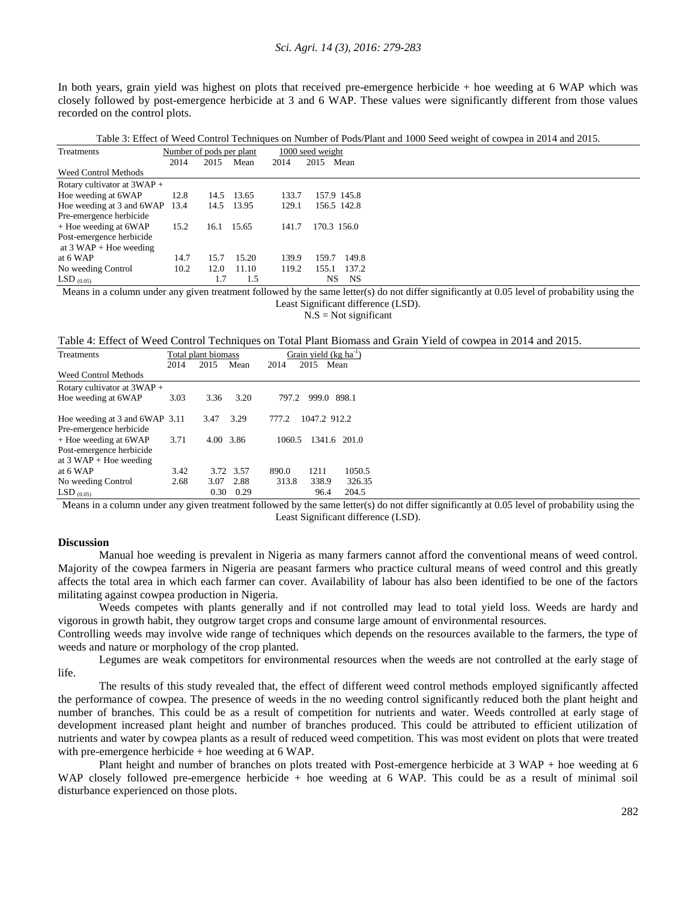#### *Sci. Agri. 14 (3), 2016: 279-283*

In both years, grain yield was highest on plots that received pre-emergence herbicide + hoe weeding at 6 WAP which was closely followed by post-emergence herbicide at 3 and 6 WAP. These values were significantly different from those values recorded on the control plots.

Table 3: Effect of Weed Control Techniques on Number of Pods/Plant and 1000 Seed weight of cowpea in 2014 and 2015.

| Treatments                     | Number of pods per plant |      |            |       | 1000 seed weight |             |
|--------------------------------|--------------------------|------|------------|-------|------------------|-------------|
|                                | 2014                     | 2015 | Mean       | 2014  | 2015             | Mean        |
| <b>Weed Control Methods</b>    |                          |      |            |       |                  |             |
| Rotary cultivator at $3WAP +$  |                          |      |            |       |                  |             |
| Hoe weeding at 6WAP            | 12.8                     | 14.5 | 13.65      | 133.7 |                  | 157.9 145.8 |
| Hoe weeding at 3 and 6WAP 13.4 |                          | 14.5 | 13.95      | 129.1 |                  | 156.5 142.8 |
| Pre-emergence herbicide        |                          |      |            |       |                  |             |
| + Hoe weeding at 6WAP          | 15.2                     |      | 16.1 15.65 | 141.7 |                  | 170.3 156.0 |
| Post-emergence herbicide       |                          |      |            |       |                  |             |
| at $3 WAP + Hoe$ weeding       |                          |      |            |       |                  |             |
| at 6 WAP                       | 14.7                     | 15.7 | 15.20      | 139.9 | 159.7            | 149.8       |
| No weeding Control             | 10.2                     | 12.0 | 11.10      | 119.2 | 155.1            | 137.2       |
| LSD $(0.05)$                   |                          | 1.7  | 1.5        |       | NS               | NS          |

Means in a column under any given treatment followed by the same letter(s) do not differ significantly at 0.05 level of probability using the Least Significant difference (LSD).

 $N.S = Not significant$ 

Table 4: Effect of Weed Control Techniques on Total Plant Biomass and Grain Yield of cowpea in 2014 and 2015.

| Treatments                     |      | Total plant biomass |           |        | Grain yield (kg ha <sup>-1</sup> ) |        |
|--------------------------------|------|---------------------|-----------|--------|------------------------------------|--------|
|                                | 2014 | 2015                | Mean      | 2014   | 2015<br>Mean                       |        |
| <b>Weed Control Methods</b>    |      |                     |           |        |                                    |        |
| Rotary cultivator at $3WAP +$  |      |                     |           |        |                                    |        |
| Hoe weeding at 6WAP            | 3.03 | 3.36                | 3.20      | 797.2  | 999.0 898.1                        |        |
|                                |      |                     |           |        |                                    |        |
| Hoe weeding at 3 and 6WAP 3.11 |      | 3.47                | 3.29      | 777.2  | 1047.2 912.2                       |        |
| Pre-emergence herbicide        |      |                     |           |        |                                    |        |
| + Hoe weeding at 6WAP          | 3.71 | 4.00 3.86           |           | 1060.5 | 1341.6 201.0                       |        |
| Post-emergence herbicide       |      |                     |           |        |                                    |        |
| at $3$ WAP + Hoe weeding       |      |                     |           |        |                                    |        |
| at 6 WAP                       | 3.42 |                     | 3.72 3.57 | 890.0  | 1211                               | 1050.5 |
| No weeding Control             | 2.68 | 3.07                | 2.88      | 313.8  | 338.9                              | 326.35 |
| LSD $_{(0.05)}$                |      | 0.30                | 0.29      |        | 96.4                               | 204.5  |

Means in a column under any given treatment followed by the same letter(s) do not differ significantly at 0.05 level of probability using the Least Significant difference (LSD).

## **Discussion**

Manual hoe weeding is prevalent in Nigeria as many farmers cannot afford the conventional means of weed control. Majority of the cowpea farmers in Nigeria are peasant farmers who practice cultural means of weed control and this greatly affects the total area in which each farmer can cover. Availability of labour has also been identified to be one of the factors militating against cowpea production in Nigeria.

Weeds competes with plants generally and if not controlled may lead to total yield loss. Weeds are hardy and vigorous in growth habit, they outgrow target crops and consume large amount of environmental resources.

Controlling weeds may involve wide range of techniques which depends on the resources available to the farmers, the type of weeds and nature or morphology of the crop planted.

Legumes are weak competitors for environmental resources when the weeds are not controlled at the early stage of life.

The results of this study revealed that, the effect of different weed control methods employed significantly affected the performance of cowpea. The presence of weeds in the no weeding control significantly reduced both the plant height and number of branches. This could be as a result of competition for nutrients and water. Weeds controlled at early stage of development increased plant height and number of branches produced. This could be attributed to efficient utilization of nutrients and water by cowpea plants as a result of reduced weed competition. This was most evident on plots that were treated with pre-emergence herbicide  $+$  hoe weeding at 6 WAP.

Plant height and number of branches on plots treated with Post-emergence herbicide at 3 WAP + hoe weeding at 6 WAP closely followed pre-emergence herbicide + hoe weeding at 6 WAP. This could be as a result of minimal soil disturbance experienced on those plots.